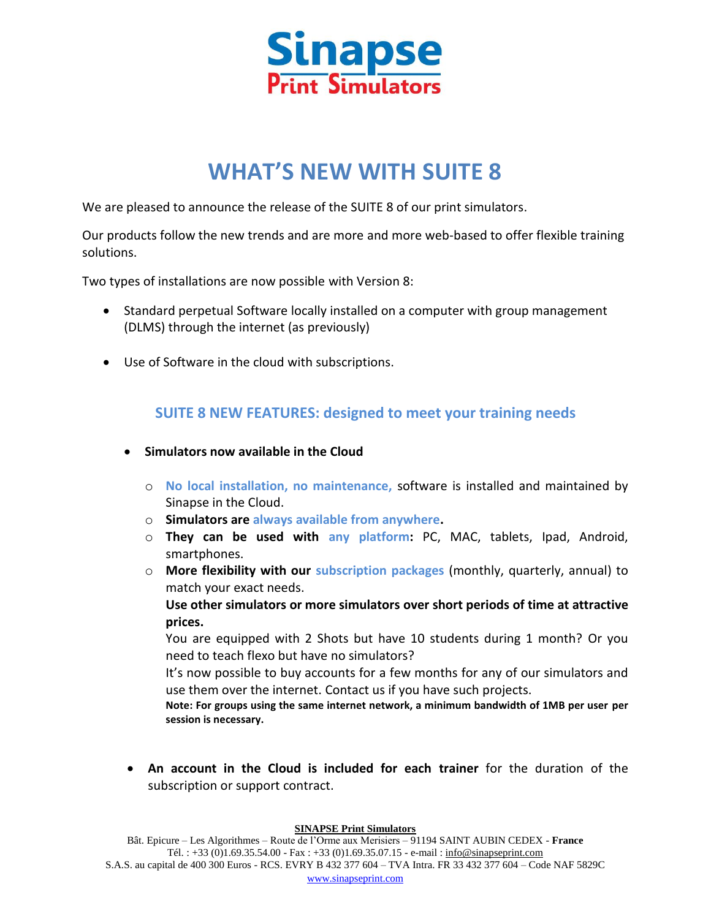

# **WHAT'S NEW WITH SUITE 8**

We are pleased to announce the release of the SUITE 8 of our print simulators.

Our products follow the new trends and are more and more web-based to offer flexible training solutions.

Two types of installations are now possible with Version 8:

- Standard perpetual Software locally installed on a computer with group management (DLMS) through the internet (as previously)
- Use of Software in the cloud with subscriptions.

### **SUITE 8 NEW FEATURES: designed to meet your training needs**

- **Simulators now available in the Cloud**
	- o **No local installation, no maintenance,** software is installed and maintained by Sinapse in the Cloud.
	- o **Simulators are always available from anywhere.**
	- o **They can be used with any platform:** PC, MAC, tablets, Ipad, Android, smartphones.
	- o **More flexibility with our subscription packages** (monthly, quarterly, annual) to match your exact needs.

**Use other simulators or more simulators over short periods of time at attractive prices.**

You are equipped with 2 Shots but have 10 students during 1 month? Or you need to teach flexo but have no simulators?

It's now possible to buy accounts for a few months for any of our simulators and use them over the internet. Contact us if you have such projects.

**Note: For groups using the same internet network, a minimum bandwidth of 1MB per user per session is necessary.**

 **An account in the Cloud is included for each trainer** for the duration of the subscription or support contract.

#### **SINAPSE Print Simulators**